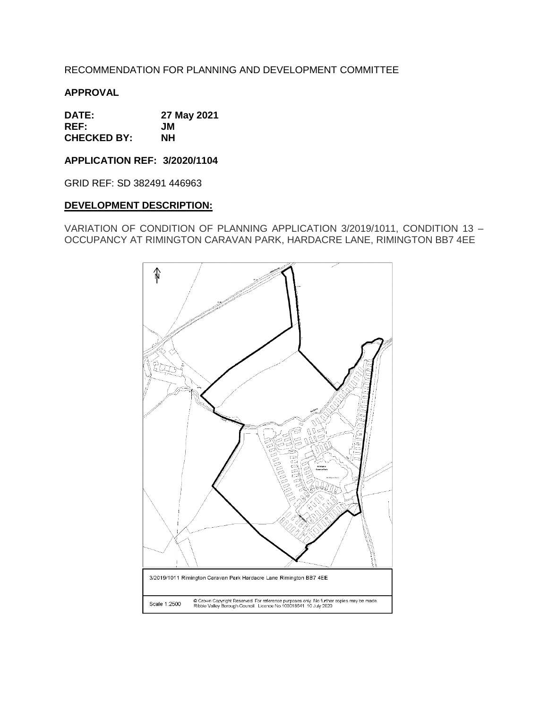# RECOMMENDATION FOR PLANNING AND DEVELOPMENT COMMITTEE

## **APPROVAL**

**DATE: 27 May 2021 REF: JM CHECKED BY: NH**

**APPLICATION REF: 3/2020/1104**

GRID REF: SD 382491 446963

### **DEVELOPMENT DESCRIPTION:**

VARIATION OF CONDITION OF PLANNING APPLICATION 3/2019/1011, CONDITION 13 – OCCUPANCY AT RIMINGTON CARAVAN PARK, HARDACRE LANE, RIMINGTON BB7 4EE

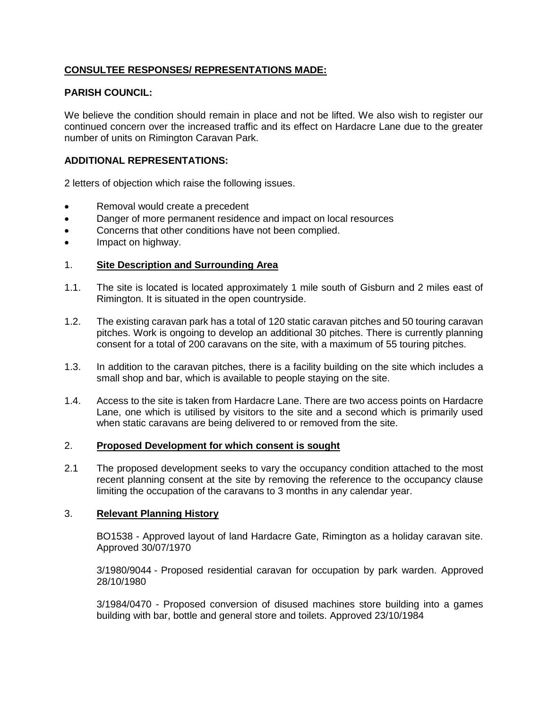# **CONSULTEE RESPONSES/ REPRESENTATIONS MADE:**

## **PARISH COUNCIL:**

We believe the condition should remain in place and not be lifted. We also wish to register our continued concern over the increased traffic and its effect on Hardacre Lane due to the greater number of units on Rimington Caravan Park.

### **ADDITIONAL REPRESENTATIONS:**

2 letters of objection which raise the following issues.

- Removal would create a precedent
- Danger of more permanent residence and impact on local resources
- Concerns that other conditions have not been complied.
- Impact on highway.

### 1. **Site Description and Surrounding Area**

- 1.1. The site is located is located approximately 1 mile south of Gisburn and 2 miles east of Rimington. It is situated in the open countryside.
- 1.2. The existing caravan park has a total of 120 static caravan pitches and 50 touring caravan pitches. Work is ongoing to develop an additional 30 pitches. There is currently planning consent for a total of 200 caravans on the site, with a maximum of 55 touring pitches.
- 1.3. In addition to the caravan pitches, there is a facility building on the site which includes a small shop and bar, which is available to people staying on the site.
- 1.4. Access to the site is taken from Hardacre Lane. There are two access points on Hardacre Lane, one which is utilised by visitors to the site and a second which is primarily used when static caravans are being delivered to or removed from the site.

### 2. **Proposed Development for which consent is sought**

2.1 The proposed development seeks to vary the occupancy condition attached to the most recent planning consent at the site by removing the reference to the occupancy clause limiting the occupation of the caravans to 3 months in any calendar year.

### 3. **Relevant Planning History**

BO1538 - Approved layout of land Hardacre Gate, Rimington as a holiday caravan site. Approved 30/07/1970

3/1980/9044 - Proposed residential caravan for occupation by park warden. Approved 28/10/1980

3/1984/0470 - Proposed conversion of disused machines store building into a games building with bar, bottle and general store and toilets. Approved 23/10/1984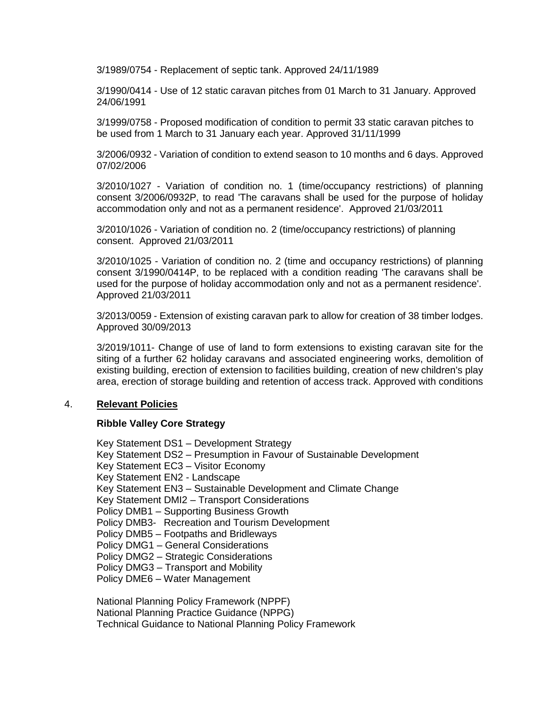3/1989/0754 - Replacement of septic tank. Approved 24/11/1989

3/1990/0414 - Use of 12 static caravan pitches from 01 March to 31 January. Approved 24/06/1991

3/1999/0758 - Proposed modification of condition to permit 33 static caravan pitches to be used from 1 March to 31 January each year. Approved 31/11/1999

3/2006/0932 - Variation of condition to extend season to 10 months and 6 days. Approved 07/02/2006

3/2010/1027 - Variation of condition no. 1 (time/occupancy restrictions) of planning consent 3/2006/0932P, to read 'The caravans shall be used for the purpose of holiday accommodation only and not as a permanent residence'. Approved 21/03/2011

3/2010/1026 - Variation of condition no. 2 (time/occupancy restrictions) of planning consent. Approved 21/03/2011

3/2010/1025 - Variation of condition no. 2 (time and occupancy restrictions) of planning consent 3/1990/0414P, to be replaced with a condition reading 'The caravans shall be used for the purpose of holiday accommodation only and not as a permanent residence'. Approved 21/03/2011

3/2013/0059 - Extension of existing caravan park to allow for creation of 38 timber lodges. Approved 30/09/2013

3/2019/1011- Change of use of land to form extensions to existing caravan site for the siting of a further 62 holiday caravans and associated engineering works, demolition of existing building, erection of extension to facilities building, creation of new children's play area, erection of storage building and retention of access track. Approved with conditions

### 4. **Relevant Policies**

## **Ribble Valley Core Strategy**

Key Statement DS1 – Development Strategy Key Statement DS2 – Presumption in Favour of Sustainable Development Key Statement EC3 – Visitor Economy Key Statement EN2 - Landscape Key Statement EN3 – Sustainable Development and Climate Change Key Statement DMI2 – Transport Considerations Policy DMB1 – Supporting Business Growth Policy DMB3- Recreation and Tourism Development Policy DMB5 – Footpaths and Bridleways Policy DMG1 – General Considerations Policy DMG2 – Strategic Considerations Policy DMG3 – Transport and Mobility Policy DME6 – Water Management National Planning Policy Framework (NPPF)

National Planning Practice Guidance (NPPG) Technical Guidance to National Planning Policy Framework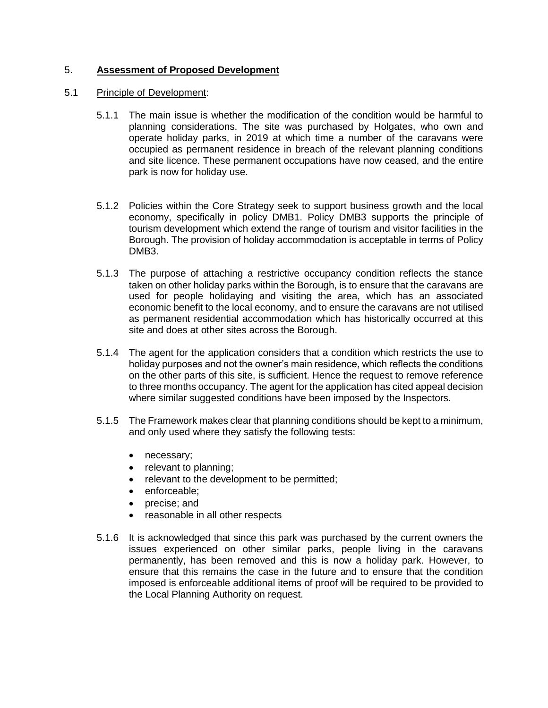## 5. **Assessment of Proposed Development**

### 5.1 Principle of Development:

- 5.1.1 The main issue is whether the modification of the condition would be harmful to planning considerations. The site was purchased by Holgates, who own and operate holiday parks, in 2019 at which time a number of the caravans were occupied as permanent residence in breach of the relevant planning conditions and site licence. These permanent occupations have now ceased, and the entire park is now for holiday use.
- 5.1.2 Policies within the Core Strategy seek to support business growth and the local economy, specifically in policy DMB1. Policy DMB3 supports the principle of tourism development which extend the range of tourism and visitor facilities in the Borough. The provision of holiday accommodation is acceptable in terms of Policy DMB3.
- 5.1.3 The purpose of attaching a restrictive occupancy condition reflects the stance taken on other holiday parks within the Borough, is to ensure that the caravans are used for people holidaying and visiting the area, which has an associated economic benefit to the local economy, and to ensure the caravans are not utilised as permanent residential accommodation which has historically occurred at this site and does at other sites across the Borough.
- 5.1.4 The agent for the application considers that a condition which restricts the use to holiday purposes and not the owner's main residence, which reflects the conditions on the other parts of this site, is sufficient. Hence the request to remove reference to three months occupancy. The agent for the application has cited appeal decision where similar suggested conditions have been imposed by the Inspectors.
- 5.1.5 The Framework makes clear that planning conditions should be kept to a minimum, and only used where they satisfy the following tests:
	- necessary;
	- relevant to planning;
	- relevant to the development to be permitted;
	- enforceable;
	- precise; and
	- reasonable in all other respects
- 5.1.6 It is acknowledged that since this park was purchased by the current owners the issues experienced on other similar parks, people living in the caravans permanently, has been removed and this is now a holiday park. However, to ensure that this remains the case in the future and to ensure that the condition imposed is enforceable additional items of proof will be required to be provided to the Local Planning Authority on request.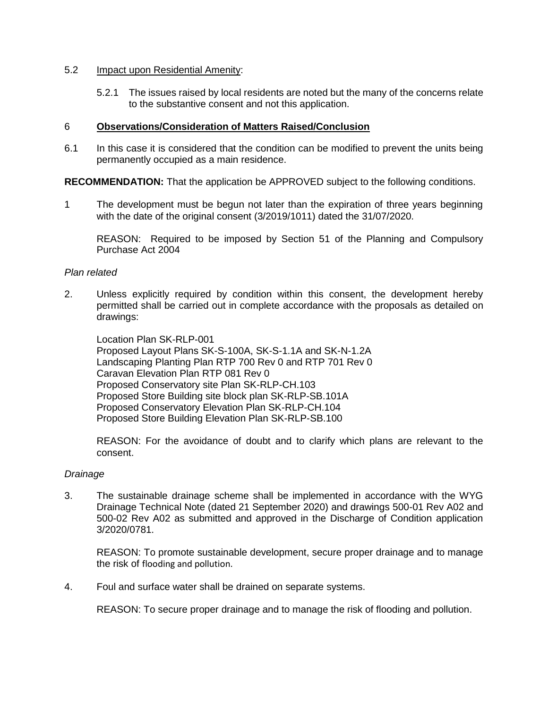### 5.2 Impact upon Residential Amenity:

5.2.1 The issues raised by local residents are noted but the many of the concerns relate to the substantive consent and not this application.

#### 6 **Observations/Consideration of Matters Raised/Conclusion**

6.1 In this case it is considered that the condition can be modified to prevent the units being permanently occupied as a main residence.

**RECOMMENDATION:** That the application be APPROVED subject to the following conditions.

1 The development must be begun not later than the expiration of three years beginning with the date of the original consent (3/2019/1011) dated the 31/07/2020.

REASON: Required to be imposed by Section 51 of the Planning and Compulsory Purchase Act 2004

### *Plan related*

2. Unless explicitly required by condition within this consent, the development hereby permitted shall be carried out in complete accordance with the proposals as detailed on drawings:

Location Plan SK-RLP-001 Proposed Layout Plans SK-S-100A, SK-S-1.1A and SK-N-1.2A Landscaping Planting Plan RTP 700 Rev 0 and RTP 701 Rev 0 Caravan Elevation Plan RTP 081 Rev 0 Proposed Conservatory site Plan SK-RLP-CH.103 Proposed Store Building site block plan SK-RLP-SB.101A Proposed Conservatory Elevation Plan SK-RLP-CH.104 Proposed Store Building Elevation Plan SK-RLP-SB.100

REASON: For the avoidance of doubt and to clarify which plans are relevant to the consent.

### *Drainage*

3. The sustainable drainage scheme shall be implemented in accordance with the WYG Drainage Technical Note (dated 21 September 2020) and drawings 500-01 Rev A02 and 500-02 Rev A02 as submitted and approved in the Discharge of Condition application 3/2020/0781.

REASON: To promote sustainable development, secure proper drainage and to manage the risk of flooding and pollution.

4. Foul and surface water shall be drained on separate systems.

REASON: To secure proper drainage and to manage the risk of flooding and pollution.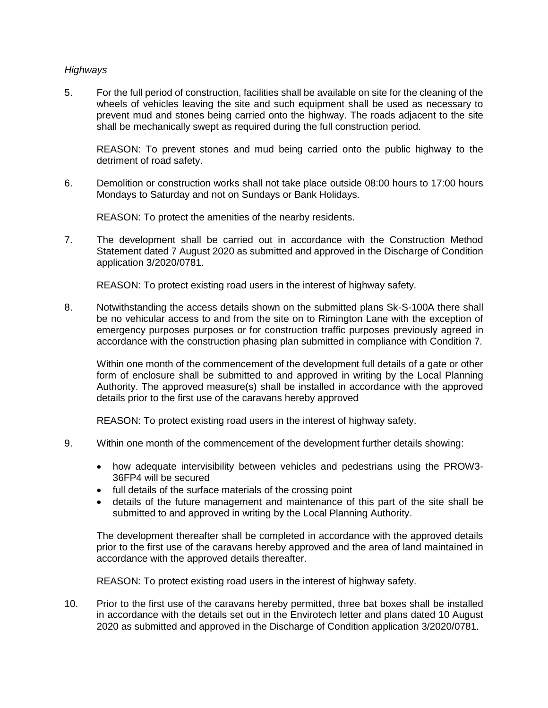### *Highways*

5. For the full period of construction, facilities shall be available on site for the cleaning of the wheels of vehicles leaving the site and such equipment shall be used as necessary to prevent mud and stones being carried onto the highway. The roads adjacent to the site shall be mechanically swept as required during the full construction period.

REASON: To prevent stones and mud being carried onto the public highway to the detriment of road safety.

6. Demolition or construction works shall not take place outside 08:00 hours to 17:00 hours Mondays to Saturday and not on Sundays or Bank Holidays.

REASON: To protect the amenities of the nearby residents.

7. The development shall be carried out in accordance with the Construction Method Statement dated 7 August 2020 as submitted and approved in the Discharge of Condition application 3/2020/0781.

REASON: To protect existing road users in the interest of highway safety.

8. Notwithstanding the access details shown on the submitted plans Sk-S-100A there shall be no vehicular access to and from the site on to Rimington Lane with the exception of emergency purposes purposes or for construction traffic purposes previously agreed in accordance with the construction phasing plan submitted in compliance with Condition 7.

Within one month of the commencement of the development full details of a gate or other form of enclosure shall be submitted to and approved in writing by the Local Planning Authority. The approved measure(s) shall be installed in accordance with the approved details prior to the first use of the caravans hereby approved

REASON: To protect existing road users in the interest of highway safety.

- 9. Within one month of the commencement of the development further details showing:
	- how adequate intervisibility between vehicles and pedestrians using the PROW3- 36FP4 will be secured
	- full details of the surface materials of the crossing point
	- details of the future management and maintenance of this part of the site shall be submitted to and approved in writing by the Local Planning Authority.

The development thereafter shall be completed in accordance with the approved details prior to the first use of the caravans hereby approved and the area of land maintained in accordance with the approved details thereafter.

REASON: To protect existing road users in the interest of highway safety.

10. Prior to the first use of the caravans hereby permitted, three bat boxes shall be installed in accordance with the details set out in the Envirotech letter and plans dated 10 August 2020 as submitted and approved in the Discharge of Condition application 3/2020/0781.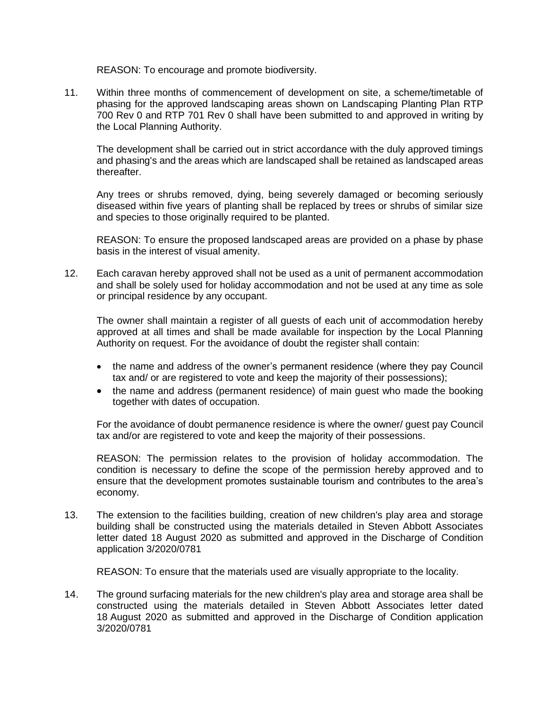REASON: To encourage and promote biodiversity.

11. Within three months of commencement of development on site, a scheme/timetable of phasing for the approved landscaping areas shown on Landscaping Planting Plan RTP 700 Rev 0 and RTP 701 Rev 0 shall have been submitted to and approved in writing by the Local Planning Authority.

The development shall be carried out in strict accordance with the duly approved timings and phasing's and the areas which are landscaped shall be retained as landscaped areas thereafter.

Any trees or shrubs removed, dying, being severely damaged or becoming seriously diseased within five years of planting shall be replaced by trees or shrubs of similar size and species to those originally required to be planted.

REASON: To ensure the proposed landscaped areas are provided on a phase by phase basis in the interest of visual amenity.

12. Each caravan hereby approved shall not be used as a unit of permanent accommodation and shall be solely used for holiday accommodation and not be used at any time as sole or principal residence by any occupant.

The owner shall maintain a register of all guests of each unit of accommodation hereby approved at all times and shall be made available for inspection by the Local Planning Authority on request. For the avoidance of doubt the register shall contain:

- the name and address of the owner's permanent residence (where they pay Council tax and/ or are registered to vote and keep the majority of their possessions);
- the name and address (permanent residence) of main guest who made the booking together with dates of occupation.

For the avoidance of doubt permanence residence is where the owner/ guest pay Council tax and/or are registered to vote and keep the majority of their possessions.

REASON: The permission relates to the provision of holiday accommodation. The condition is necessary to define the scope of the permission hereby approved and to ensure that the development promotes sustainable tourism and contributes to the area's economy.

13. The extension to the facilities building, creation of new children's play area and storage building shall be constructed using the materials detailed in Steven Abbott Associates letter dated 18 August 2020 as submitted and approved in the Discharge of Condition application 3/2020/0781

REASON: To ensure that the materials used are visually appropriate to the locality.

14. The ground surfacing materials for the new children's play area and storage area shall be constructed using the materials detailed in Steven Abbott Associates letter dated 18 August 2020 as submitted and approved in the Discharge of Condition application 3/2020/0781